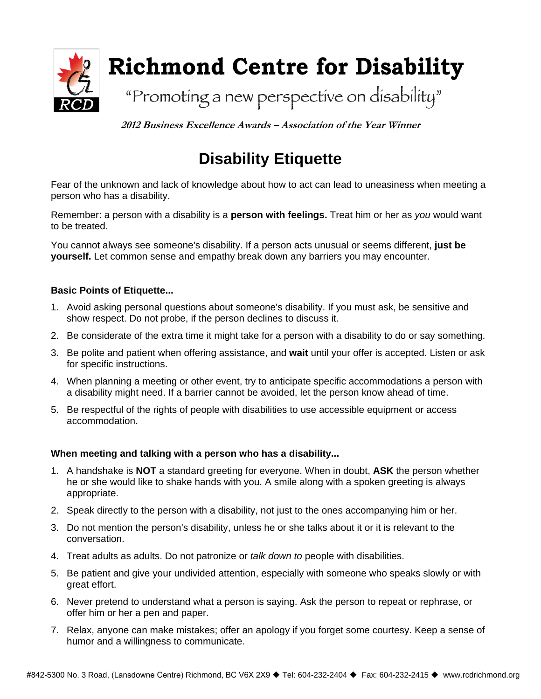

**2012 Business Excellence Awards – Association of the Year Winner** 

# **Disability Etiquette**

Fear of the unknown and lack of knowledge about how to act can lead to uneasiness when meeting a person who has a disability.

Remember: a person with a disability is a **person with feelings.** Treat him or her as *you* would want to be treated.

You cannot always see someone's disability. If a person acts unusual or seems different, **just be yourself.** Let common sense and empathy break down any barriers you may encounter.

### **Basic Points of Etiquette...**

- 1. Avoid asking personal questions about someone's disability. If you must ask, be sensitive and show respect. Do not probe, if the person declines to discuss it.
- 2. Be considerate of the extra time it might take for a person with a disability to do or say something.
- 3. Be polite and patient when offering assistance, and **wait** until your offer is accepted. Listen or ask for specific instructions.
- 4. When planning a meeting or other event, try to anticipate specific accommodations a person with a disability might need. If a barrier cannot be avoided, let the person know ahead of time.
- 5. Be respectful of the rights of people with disabilities to use accessible equipment or access accommodation.

### **When meeting and talking with a person who has a disability...**

- 1. A handshake is **NOT** a standard greeting for everyone. When in doubt, **ASK** the person whether he or she would like to shake hands with you. A smile along with a spoken greeting is always appropriate.
- 2. Speak directly to the person with a disability, not just to the ones accompanying him or her.
- 3. Do not mention the person's disability, unless he or she talks about it or it is relevant to the conversation.
- 4. Treat adults as adults. Do not patronize or *talk down to* people with disabilities.
- 5. Be patient and give your undivided attention, especially with someone who speaks slowly or with great effort.
- 6. Never pretend to understand what a person is saying. Ask the person to repeat or rephrase, or offer him or her a pen and paper.
- 7. Relax, anyone can make mistakes; offer an apology if you forget some courtesy. Keep a sense of humor and a willingness to communicate.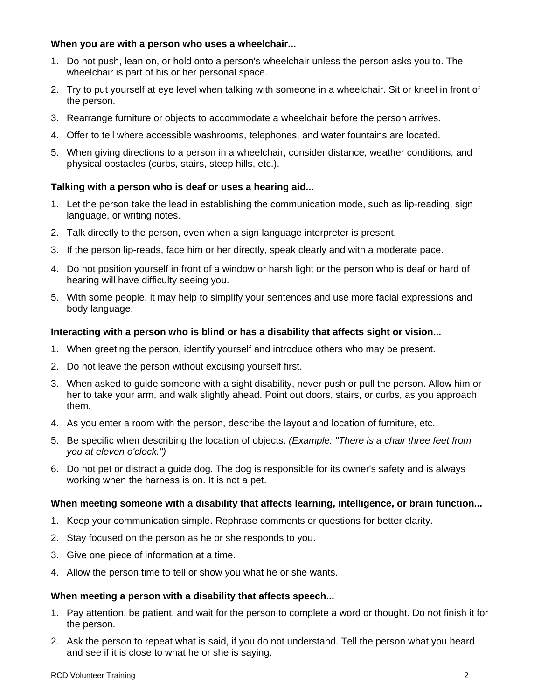### **When you are with a person who uses a wheelchair...**

- 1. Do not push, lean on, or hold onto a person's wheelchair unless the person asks you to. The wheelchair is part of his or her personal space.
- 2. Try to put yourself at eye level when talking with someone in a wheelchair. Sit or kneel in front of the person.
- 3. Rearrange furniture or objects to accommodate a wheelchair before the person arrives.
- 4. Offer to tell where accessible washrooms, telephones, and water fountains are located.
- 5. When giving directions to a person in a wheelchair, consider distance, weather conditions, and physical obstacles (curbs, stairs, steep hills, etc.).

### **Talking with a person who is deaf or uses a hearing aid...**

- 1. Let the person take the lead in establishing the communication mode, such as lip-reading, sign language, or writing notes.
- 2. Talk directly to the person, even when a sign language interpreter is present.
- 3. If the person lip-reads, face him or her directly, speak clearly and with a moderate pace.
- 4. Do not position yourself in front of a window or harsh light or the person who is deaf or hard of hearing will have difficulty seeing you.
- 5. With some people, it may help to simplify your sentences and use more facial expressions and body language.

### **Interacting with a person who is blind or has a disability that affects sight or vision...**

- 1. When greeting the person, identify yourself and introduce others who may be present.
- 2. Do not leave the person without excusing yourself first.
- 3. When asked to guide someone with a sight disability, never push or pull the person. Allow him or her to take your arm, and walk slightly ahead. Point out doors, stairs, or curbs, as you approach them.
- 4. As you enter a room with the person, describe the layout and location of furniture, etc.
- 5. Be specific when describing the location of objects. *(Example: "There is a chair three feet from you at eleven o'clock.")*
- 6. Do not pet or distract a guide dog. The dog is responsible for its owner's safety and is always working when the harness is on. It is not a pet.

#### **When meeting someone with a disability that affects learning, intelligence, or brain function...**

- 1. Keep your communication simple. Rephrase comments or questions for better clarity.
- 2. Stay focused on the person as he or she responds to you.
- 3. Give one piece of information at a time.
- 4. Allow the person time to tell or show you what he or she wants.

#### **When meeting a person with a disability that affects speech...**

- 1. Pay attention, be patient, and wait for the person to complete a word or thought. Do not finish it for the person.
- 2. Ask the person to repeat what is said, if you do not understand. Tell the person what you heard and see if it is close to what he or she is saying.